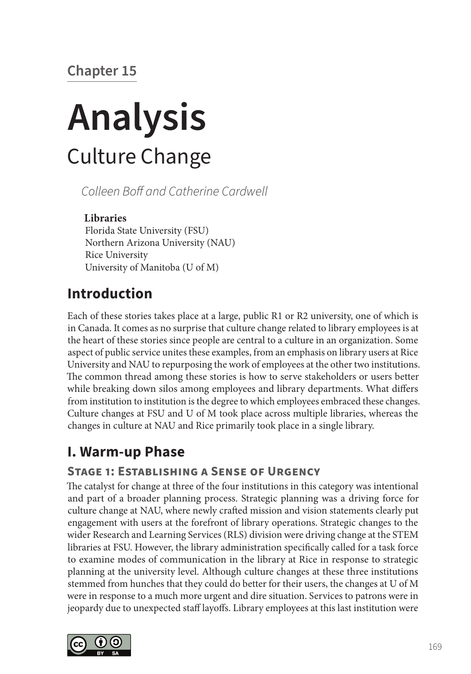# **Chapter 15**

# **Analysis** Culture Change

*Colleen Boff and Catherine Cardwell*

### **Libraries**

Florida State University (FSU) Northern Arizona University (NAU) Rice University University of Manitoba (U of M)

# **Introduction**

Each of these stories takes place at a large, public R1 or R2 university, one of which is in Canada. It comes as no surprise that culture change related to library employees is at the heart of these stories since people are central to a culture in an organization. Some aspect of public service unites these examples, from an emphasis on library users at Rice University and NAU to repurposing the work of employees at the other two institutions. The common thread among these stories is how to serve stakeholders or users better while breaking down silos among employees and library departments. What differs from institution to institution is the degree to which employees embraced these changes. Culture changes at FSU and U of M took place across multiple libraries, whereas the changes in culture at NAU and Rice primarily took place in a single library.

# **I. Warm-up Phase**

## **Stage 1: Establishing a Sense of Urgency**

The catalyst for change at three of the four institutions in this category was intentional and part of a broader planning process. Strategic planning was a driving force for culture change at NAU, where newly crafted mission and vision statements clearly put engagement with users at the forefront of library operations. Strategic changes to the wider Research and Learning Services (RLS) division were driving change at the STEM libraries at FSU. However, the library administration specifically called for a task force to examine modes of communication in the library at Rice in response to strategic planning at the university level. Although culture changes at these three institutions stemmed from hunches that they could do better for their users, the changes at U of M were in response to a much more urgent and dire situation. Services to patrons were in jeopardy due to unexpected staff layoffs. Library employees at this last institution were

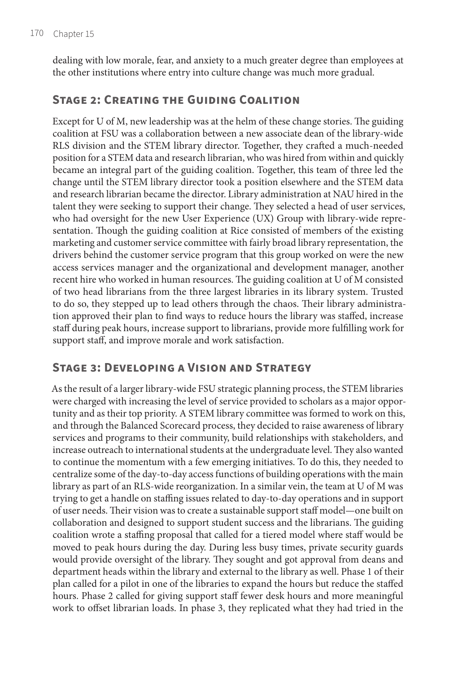dealing with low morale, fear, and anxiety to a much greater degree than employees at the other institutions where entry into culture change was much more gradual.

### **Stage 2: Creating the Guiding Coalition**

Except for U of M, new leadership was at the helm of these change stories. The guiding coalition at FSU was a collaboration between a new associate dean of the library-wide RLS division and the STEM library director. Together, they crafted a much-needed position for a STEM data and research librarian, who was hired from within and quickly became an integral part of the guiding coalition. Together, this team of three led the change until the STEM library director took a position elsewhere and the STEM data and research librarian became the director. Library administration at NAU hired in the talent they were seeking to support their change. They selected a head of user services, who had oversight for the new User Experience (UX) Group with library-wide representation. Though the guiding coalition at Rice consisted of members of the existing marketing and customer service committee with fairly broad library representation, the drivers behind the customer service program that this group worked on were the new access services manager and the organizational and development manager, another recent hire who worked in human resources. The guiding coalition at U of M consisted of two head librarians from the three largest libraries in its library system. Trusted to do so, they stepped up to lead others through the chaos. Their library administration approved their plan to find ways to reduce hours the library was staffed, increase staff during peak hours, increase support to librarians, provide more fulfilling work for support staff, and improve morale and work satisfaction.

### **Stage 3: Developing a Vision and Strategy**

As the result of a larger library-wide FSU strategic planning process, the STEM libraries were charged with increasing the level of service provided to scholars as a major opportunity and as their top priority. A STEM library committee was formed to work on this, and through the Balanced Scorecard process, they decided to raise awareness of library services and programs to their community, build relationships with stakeholders, and increase outreach to international students at the undergraduate level. They also wanted to continue the momentum with a few emerging initiatives. To do this, they needed to centralize some of the day-to-day access functions of building operations with the main library as part of an RLS-wide reorganization. In a similar vein, the team at U of M was trying to get a handle on staffing issues related to day-to-day operations and in support of user needs. Their vision was to create a sustainable support staff model—one built on collaboration and designed to support student success and the librarians. The guiding coalition wrote a staffing proposal that called for a tiered model where staff would be moved to peak hours during the day. During less busy times, private security guards would provide oversight of the library. They sought and got approval from deans and department heads within the library and external to the library as well. Phase 1 of their plan called for a pilot in one of the libraries to expand the hours but reduce the staffed hours. Phase 2 called for giving support staff fewer desk hours and more meaningful work to offset librarian loads. In phase 3, they replicated what they had tried in the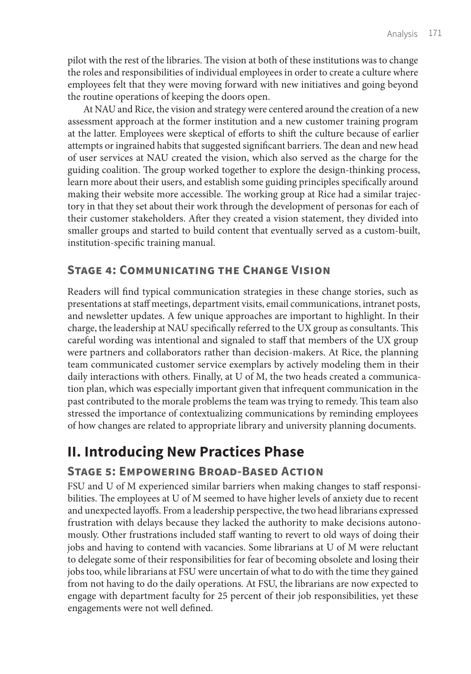pilot with the rest of the libraries. The vision at both of these institutions was to change the roles and responsibilities of individual employees in order to create a culture where employees felt that they were moving forward with new initiatives and going beyond the routine operations of keeping the doors open.

At NAU and Rice, the vision and strategy were centered around the creation of a new assessment approach at the former institution and a new customer training program at the latter. Employees were skeptical of efforts to shift the culture because of earlier attempts or ingrained habits that suggested significant barriers. The dean and new head of user services at NAU created the vision, which also served as the charge for the guiding coalition. The group worked together to explore the design-thinking process, learn more about their users, and establish some guiding principles specifically around making their website more accessible. The working group at Rice had a similar trajectory in that they set about their work through the development of personas for each of their customer stakeholders. After they created a vision statement, they divided into smaller groups and started to build content that eventually served as a custom-built, institution-specific training manual.

### **Stage 4: Communicating the Change Vision**

Readers will find typical communication strategies in these change stories, such as presentations at staff meetings, department visits, email communications, intranet posts, and newsletter updates. A few unique approaches are important to highlight. In their charge, the leadership at NAU specifically referred to the UX group as consultants. This careful wording was intentional and signaled to staff that members of the UX group were partners and collaborators rather than decision-makers. At Rice, the planning team communicated customer service exemplars by actively modeling them in their daily interactions with others. Finally, at U of M, the two heads created a communication plan, which was especially important given that infrequent communication in the past contributed to the morale problems the team was trying to remedy. This team also stressed the importance of contextualizing communications by reminding employees of how changes are related to appropriate library and university planning documents.

# **II. Introducing New Practices Phase**

### **Stage 5: Empowering Broad-Based Action**

FSU and U of M experienced similar barriers when making changes to staff responsibilities. The employees at U of M seemed to have higher levels of anxiety due to recent and unexpected layoffs. From a leadership perspective, the two head librarians expressed frustration with delays because they lacked the authority to make decisions autonomously. Other frustrations included staff wanting to revert to old ways of doing their jobs and having to contend with vacancies. Some librarians at U of M were reluctant to delegate some of their responsibilities for fear of becoming obsolete and losing their jobs too, while librarians at FSU were uncertain of what to do with the time they gained from not having to do the daily operations. At FSU, the librarians are now expected to engage with department faculty for 25 percent of their job responsibilities, yet these engagements were not well defined.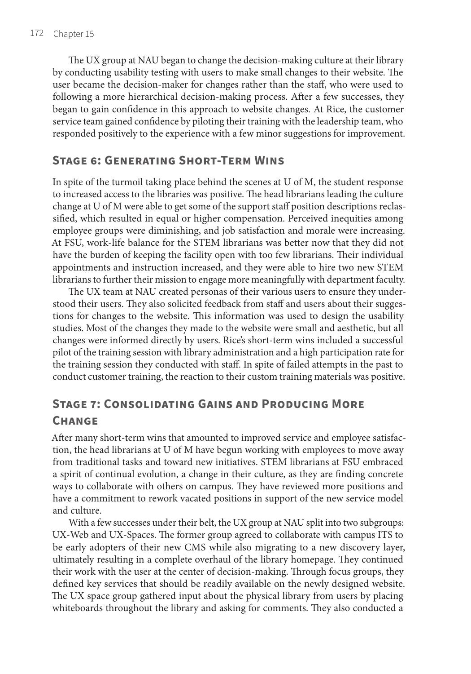The UX group at NAU began to change the decision-making culture at their library by conducting usability testing with users to make small changes to their website. The user became the decision-maker for changes rather than the staff, who were used to following a more hierarchical decision-making process. After a few successes, they began to gain confidence in this approach to website changes. At Rice, the customer service team gained confidence by piloting their training with the leadership team, who responded positively to the experience with a few minor suggestions for improvement.

#### **Stage 6: Generating Short-Term Wins**

In spite of the turmoil taking place behind the scenes at U of M, the student response to increased access to the libraries was positive. The head librarians leading the culture change at U of M were able to get some of the support staff position descriptions reclassified, which resulted in equal or higher compensation. Perceived inequities among employee groups were diminishing, and job satisfaction and morale were increasing. At FSU, work-life balance for the STEM librarians was better now that they did not have the burden of keeping the facility open with too few librarians. Their individual appointments and instruction increased, and they were able to hire two new STEM librarians to further their mission to engage more meaningfully with department faculty.

The UX team at NAU created personas of their various users to ensure they understood their users. They also solicited feedback from staff and users about their suggestions for changes to the website. This information was used to design the usability studies. Most of the changes they made to the website were small and aesthetic, but all changes were informed directly by users. Rice's short-term wins included a successful pilot of the training session with library administration and a high participation rate for the training session they conducted with staff. In spite of failed attempts in the past to conduct customer training, the reaction to their custom training materials was positive.

## **Stage 7: Consolidating Gains and Producing More Change**

After many short-term wins that amounted to improved service and employee satisfaction, the head librarians at U of M have begun working with employees to move away from traditional tasks and toward new initiatives. STEM librarians at FSU embraced a spirit of continual evolution, a change in their culture, as they are finding concrete ways to collaborate with others on campus. They have reviewed more positions and have a commitment to rework vacated positions in support of the new service model and culture.

With a few successes under their belt, the UX group at NAU split into two subgroups: UX-Web and UX-Spaces. The former group agreed to collaborate with campus ITS to be early adopters of their new CMS while also migrating to a new discovery layer, ultimately resulting in a complete overhaul of the library homepage. They continued their work with the user at the center of decision-making. Through focus groups, they defined key services that should be readily available on the newly designed website. The UX space group gathered input about the physical library from users by placing whiteboards throughout the library and asking for comments. They also conducted a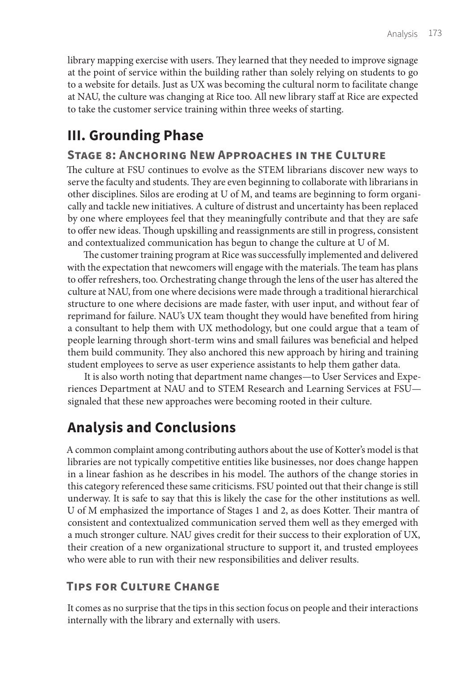library mapping exercise with users. They learned that they needed to improve signage at the point of service within the building rather than solely relying on students to go to a website for details. Just as UX was becoming the cultural norm to facilitate change at NAU, the culture was changing at Rice too. All new library staff at Rice are expected to take the customer service training within three weeks of starting.

## **III. Grounding Phase**

#### **Stage 8: Anchoring New Approaches in the Culture**

The culture at FSU continues to evolve as the STEM librarians discover new ways to serve the faculty and students. They are even beginning to collaborate with librarians in other disciplines. Silos are eroding at U of M, and teams are beginning to form organically and tackle new initiatives. A culture of distrust and uncertainty has been replaced by one where employees feel that they meaningfully contribute and that they are safe to offer new ideas. Though upskilling and reassignments are still in progress, consistent and contextualized communication has begun to change the culture at U of M.

The customer training program at Rice was successfully implemented and delivered with the expectation that newcomers will engage with the materials. The team has plans to offer refreshers, too. Orchestrating change through the lens of the user has altered the culture at NAU, from one where decisions were made through a traditional hierarchical structure to one where decisions are made faster, with user input, and without fear of reprimand for failure. NAU's UX team thought they would have benefited from hiring a consultant to help them with UX methodology, but one could argue that a team of people learning through short-term wins and small failures was beneficial and helped them build community. They also anchored this new approach by hiring and training student employees to serve as user experience assistants to help them gather data.

It is also worth noting that department name changes—to User Services and Experiences Department at NAU and to STEM Research and Learning Services at FSU signaled that these new approaches were becoming rooted in their culture.

## **Analysis and Conclusions**

A common complaint among contributing authors about the use of Kotter's model is that libraries are not typically competitive entities like businesses, nor does change happen in a linear fashion as he describes in his model. The authors of the change stories in this category referenced these same criticisms. FSU pointed out that their change is still underway. It is safe to say that this is likely the case for the other institutions as well. U of M emphasized the importance of Stages 1 and 2, as does Kotter. Their mantra of consistent and contextualized communication served them well as they emerged with a much stronger culture. NAU gives credit for their success to their exploration of UX, their creation of a new organizational structure to support it, and trusted employees who were able to run with their new responsibilities and deliver results.

## **Tips for Culture Change**

It comes as no surprise that the tips in this section focus on people and their interactions internally with the library and externally with users.